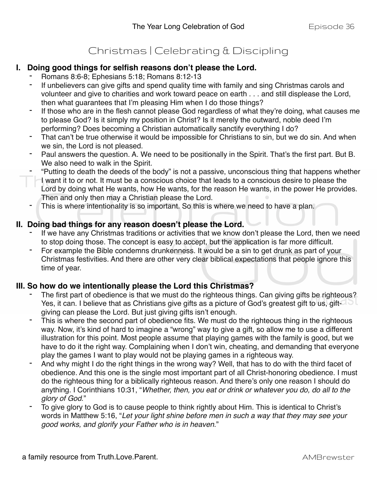## Christmas | Celebrating & Discipling

## **I. Doing good things for selfish reasons don't please the Lord.**

- Romans 8:6-8; Ephesians 5:18; Romans 8:12-13
- If unbelievers can give gifts and spend quality time with family and sing Christmas carols and volunteer and give to charities and work toward peace on earth . . . and still displease the Lord, then what guarantees that I'm pleasing Him when I do those things?
- If those who are in the flesh cannot please God regardless of what they're doing, what causes me to please God? Is it simply my position in Christ? Is it merely the outward, noble deed I'm performing? Does becoming a Christian automatically sanctify everything I do?
- That can't be true otherwise it would be impossible for Christians to sin, but we do sin. And when we sin, the Lord is not pleased.
- Paul answers the question. A. We need to be positionally in the Spirit. That's the first part. But B. We also need to walk in the Spirit.
- "Putting to death the deeds of the body" is not a passive, unconscious thing that happens whether I want it to or not. It must be a conscious choice that leads to a conscious desire to please the Lord by doing what He wants, how He wants, for the reason He wants, in the power He provides. Then and only then may a Christian please the Lord.
- This is where intentionality is so important. So this is where we need to have a plan.

## **II. Doing bad things for any reason doesn't please the Lord.**

- If we have any Christmas traditions or activities that we know don't please the Lord, then we need to stop doing those. The concept is easy to accept, but the application is far more difficult.
- For example the Bible condemns drunkenness. It would be a sin to get drunk as part of your Christmas festivities. And there are other very clear biblical expectations that people ignore this time of year.

## **III. So how do we intentionally please the Lord this Christmas?**

- The first part of obedience is that we must do the righteous things. Can giving gifts be righteous? Yes, it can. I believe that as Christians give gifts as a picture of God's greatest gift to us, giftgiving can please the Lord. But just giving gifts isn't enough.
- This is where the second part of obedience fits. We must do the righteous thing in the righteous way. Now, it's kind of hard to imagine a "wrong" way to give a gift, so allow me to use a different illustration for this point. Most people assume that playing games with the family is good, but we have to do it the right way. Complaining when I don't win, cheating, and demanding that everyone play the games I want to play would not be playing games in a righteous way.
- And why might I do the right things in the wrong way? Well, that has to do with the third facet of obedience. And this one is the single most important part of all Christ-honoring obedience. I must do the righteous thing for a biblically righteous reason. And there's only one reason I should do anything. I Corinthians 10:31, "*Whether, then, you eat or drink or whatever you do, do all to the glory of God*."
- To give glory to God is to cause people to think rightly about Him. This is identical to Christ's words in Matthew 5:16, "*Let your light shine before men in such a way that they may see your good works, and glorify your Father who is in heaven*."